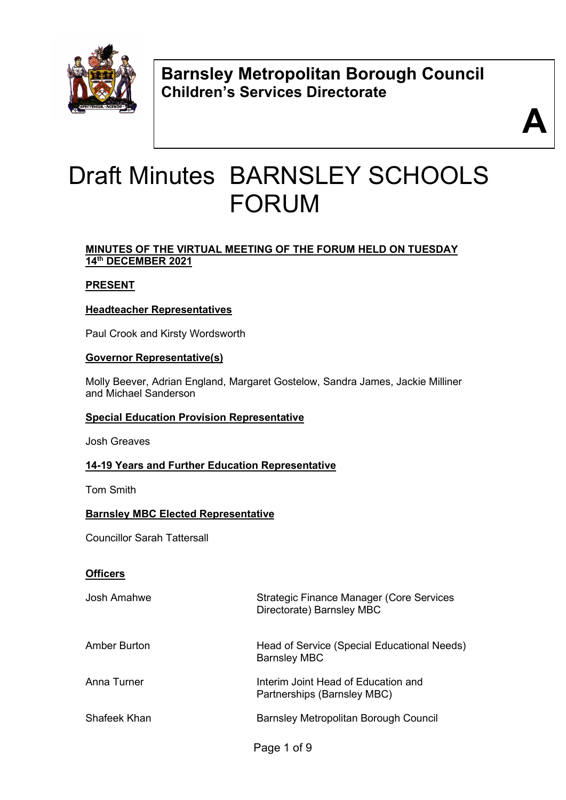

**Barnsley Metropolitan Borough Council Children's Services Directorate** 



# Draft Minutes BARNSLEY SCHOOLS FORUM

#### **MINUTES OF THE VIRTUAL MEETING OF THE FORUM HELD ON TUESDAY 14th DECEMBER 2021**

#### **PRESENT**

# **Headteacher Representatives**

Paul Crook and Kirsty Wordsworth

#### **Governor Representative(s)**

Molly Beever, Adrian England, Margaret Gostelow, Sandra James, Jackie Milliner and Michael Sanderson

#### **Special Education Provision Representative**

Josh Greaves

#### **14-19 Years and Further Education Representative**

Tom Smith

#### **Barnsley MBC Elected Representative**

Councillor Sarah Tattersall

#### **Officers**

| Josh Amahwe         | Strategic Finance Manager (Core Services<br>Directorate) Barnsley MBC |
|---------------------|-----------------------------------------------------------------------|
| <b>Amber Burton</b> | Head of Service (Special Educational Needs)<br><b>Barnsley MBC</b>    |
| Anna Turner         | Interim Joint Head of Education and<br>Partnerships (Barnsley MBC)    |
| Shafeek Khan        | Barnsley Metropolitan Borough Council                                 |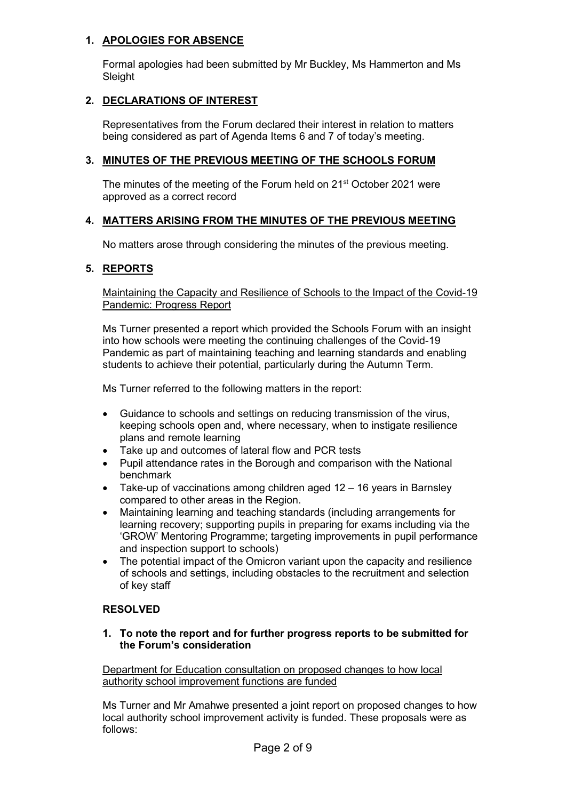#### **1. APOLOGIES FOR ABSENCE**

Formal apologies had been submitted by Mr Buckley, Ms Hammerton and Ms **Sleight** 

#### **2. DECLARATIONS OF INTEREST**

Representatives from the Forum declared their interest in relation to matters being considered as part of Agenda Items 6 and 7 of today's meeting.

#### **3. MINUTES OF THE PREVIOUS MEETING OF THE SCHOOLS FORUM**

The minutes of the meeting of the Forum held on 21st October 2021 were approved as a correct record

#### **4. MATTERS ARISING FROM THE MINUTES OF THE PREVIOUS MEETING**

No matters arose through considering the minutes of the previous meeting.

#### **5. REPORTS**

Maintaining the Capacity and Resilience of Schools to the Impact of the Covid-19 Pandemic: Progress Report

Ms Turner presented a report which provided the Schools Forum with an insight into how schools were meeting the continuing challenges of the Covid-19 Pandemic as part of maintaining teaching and learning standards and enabling students to achieve their potential, particularly during the Autumn Term.

Ms Turner referred to the following matters in the report:

- Guidance to schools and settings on reducing transmission of the virus, keeping schools open and, where necessary, when to instigate resilience plans and remote learning
- Take up and outcomes of lateral flow and PCR tests
- Pupil attendance rates in the Borough and comparison with the National benchmark
- Take-up of vaccinations among children aged 12 16 years in Barnsley compared to other areas in the Region.
- Maintaining learning and teaching standards (including arrangements for learning recovery; supporting pupils in preparing for exams including via the 'GROW' Mentoring Programme; targeting improvements in pupil performance and inspection support to schools)
- The potential impact of the Omicron variant upon the capacity and resilience of schools and settings, including obstacles to the recruitment and selection of key staff

#### **RESOLVED**

#### **1. To note the report and for further progress reports to be submitted for the Forum's consideration**

Department for Education consultation on proposed changes to how local authority school improvement functions are funded

Ms Turner and Mr Amahwe presented a joint report on proposed changes to how local authority school improvement activity is funded. These proposals were as follows: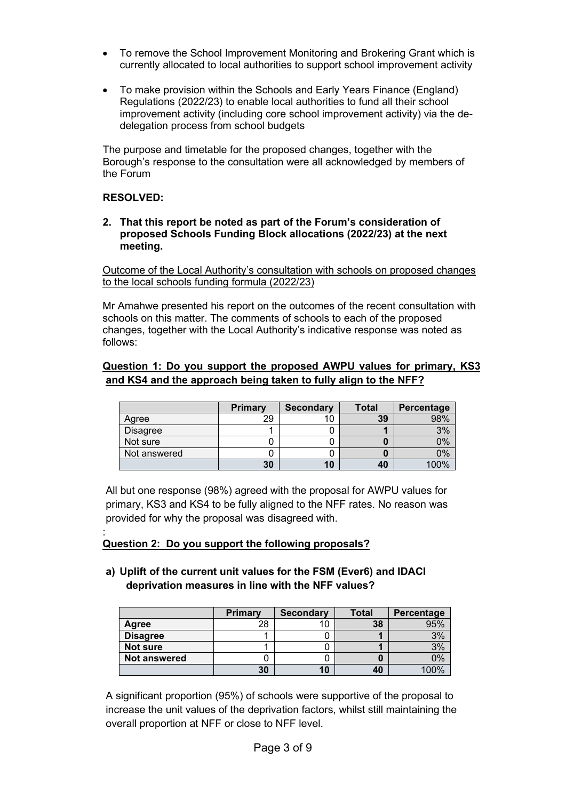- To remove the School Improvement Monitoring and Brokering Grant which is currently allocated to local authorities to support school improvement activity
- To make provision within the Schools and Early Years Finance (England) Regulations (2022/23) to enable local authorities to fund all their school improvement activity (including core school improvement activity) via the dedelegation process from school budgets

The purpose and timetable for the proposed changes, together with the Borough's response to the consultation were all acknowledged by members of the Forum

#### **RESOLVED:**

**2. That this report be noted as part of the Forum's consideration of proposed Schools Funding Block allocations (2022/23) at the next meeting.** 

Outcome of the Local Authority's consultation with schools on proposed changes to the local schools funding formula (2022/23)

Mr Amahwe presented his report on the outcomes of the recent consultation with schools on this matter. The comments of schools to each of the proposed changes, together with the Local Authority's indicative response was noted as follows:

#### **Question 1: Do you support the proposed AWPU values for primary, KS3 and KS4 and the approach being taken to fully align to the NFF?**

|                 | <b>Primary</b> | <b>Secondary</b> | <b>Total</b> | Percentage |
|-----------------|----------------|------------------|--------------|------------|
| Agree           | 29             |                  | 39           | 98%        |
| <b>Disagree</b> |                |                  |              | 3%         |
| Not sure        |                |                  |              | 0%         |
| Not answered    |                |                  |              | 0%         |
|                 | 30             | 10               | 40           | 100%       |

All but one response (98%) agreed with the proposal for AWPU values for primary, KS3 and KS4 to be fully aligned to the NFF rates. No reason was provided for why the proposal was disagreed with.

#### : **Question 2: Do you support the following proposals?**

**a) Uplift of the current unit values for the FSM (Ever6) and IDACI deprivation measures in line with the NFF values?** 

|                     | Primary | <b>Secondary</b> | <b>Total</b> | Percentage |
|---------------------|---------|------------------|--------------|------------|
| Agree               | 28      |                  | 38           | 95%        |
| <b>Disagree</b>     |         |                  |              | 3%         |
| Not sure            |         |                  |              | 3%         |
| <b>Not answered</b> |         |                  |              | 0%         |
|                     | 30      | 10               | 40           | 100%       |

A significant proportion (95%) of schools were supportive of the proposal to increase the unit values of the deprivation factors, whilst still maintaining the overall proportion at NFF or close to NFF level.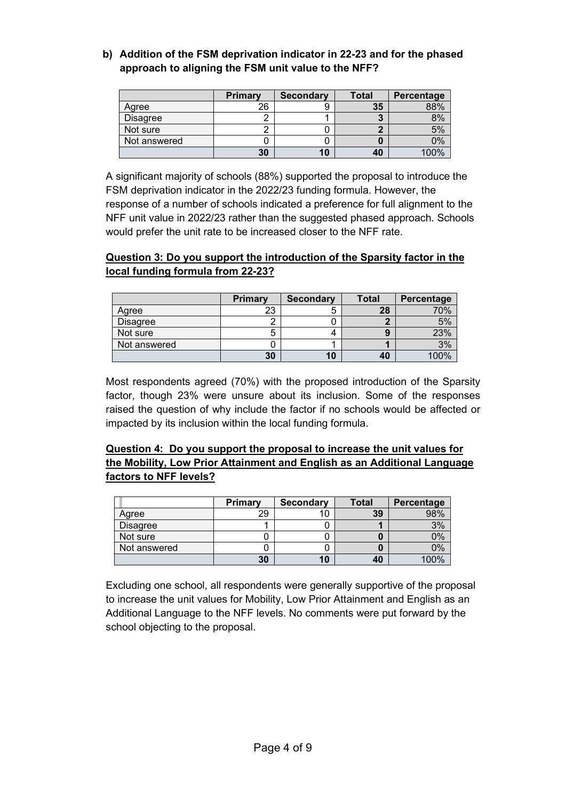**b) Addition of the FSM deprivation indicator in 22-23 and for the phased approach to aligning the FSM unit value to the NFF?**

|                 | <b>Primary</b> | <b>Secondary</b> | Total | Percentage |
|-----------------|----------------|------------------|-------|------------|
| Agree           | ንና             |                  | 35    |            |
| <b>Disagree</b> |                |                  |       | 8%         |
| Not sure        |                |                  |       | 5%         |
| Not answered    |                |                  |       | ን%         |
|                 | 30             | 10               | 40    | 100%       |

A significant majority of schools (88%) supported the proposal to introduce the FSM deprivation indicator in the 2022/23 funding formula. However, the response of a number of schools indicated a preference for full alignment to the NFF unit value in 2022/23 rather than the suggested phased approach. Schools would prefer the unit rate to be increased closer to the NFF rate.

#### **Question 3: Do you support the introduction of the Sparsity factor in the local funding formula from 22-23?**

|                 | <b>Primary</b> | <b>Secondary</b> | Total | Percentage |
|-----------------|----------------|------------------|-------|------------|
| Agree           | 23             | э                | 28    | 70%        |
| <b>Disagree</b> |                |                  |       | 5%         |
| Not sure        |                |                  |       | 23%        |
| Not answered    |                |                  |       | 3%         |
|                 | 30             | 10               | 40    | 100%       |

Most respondents agreed (70%) with the proposed introduction of the Sparsity factor, though 23% were unsure about its inclusion. Some of the responses raised the question of why include the factor if no schools would be affected or impacted by its inclusion within the local funding formula.

#### **Question 4: Do you support the proposal to increase the unit values for the Mobility, Low Prior Attainment and English as an Additional Language factors to NFF levels?**

|                 | Primary | <b>Secondary</b> | <b>Total</b> | Percentage |
|-----------------|---------|------------------|--------------|------------|
| Agree           | 29      |                  | 39           |            |
| <b>Disagree</b> |         |                  |              | 3%         |
| Not sure        |         |                  |              | 2%         |
| Not answered    |         |                  |              | 2%         |
|                 | 30      | 10               | 40           | $\Omega$   |

 Excluding one school, all respondents were generally supportive of the proposal to increase the unit values for Mobility, Low Prior Attainment and English as an Additional Language to the NFF levels. No comments were put forward by the school objecting to the proposal.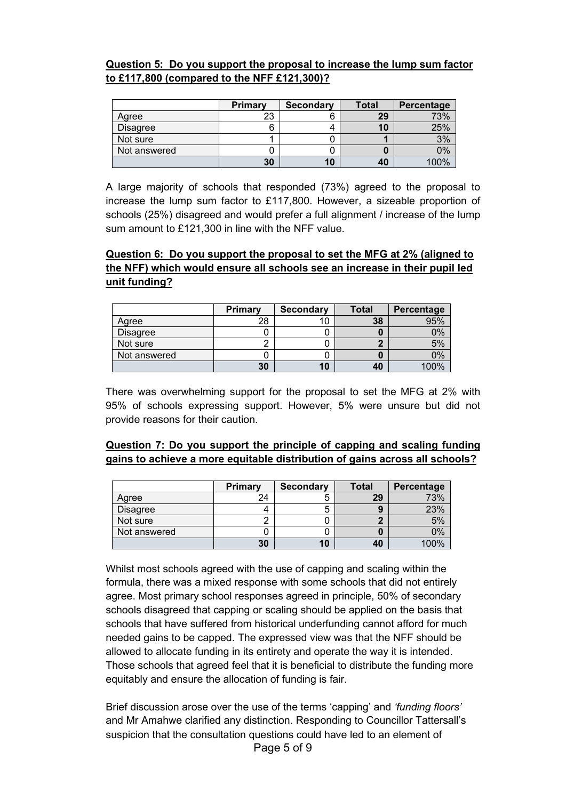#### **Question 5: Do you support the proposal to increase the lump sum factor to £117,800 (compared to the NFF £121,300)?**

|                 | <b>Primary</b> | <b>Secondary</b> | Total | Percentage |
|-----------------|----------------|------------------|-------|------------|
| Agree           | 23             | b                | 29    | 73%        |
| <b>Disagree</b> |                |                  | 10    | 25%        |
| Not sure        |                |                  |       | 3%         |
| Not answered    |                |                  |       | 0%         |
|                 | 30             | 10               | 40    | 100%       |

 A large majority of schools that responded (73%) agreed to the proposal to increase the lump sum factor to £117,800. However, a sizeable proportion of schools (25%) disagreed and would prefer a full alignment / increase of the lump sum amount to £121,300 in line with the NFF value.

#### **Question 6: Do you support the proposal to set the MFG at 2% (aligned to the NFF) which would ensure all schools see an increase in their pupil led unit funding?**

|                 | Primary | <b>Secondary</b> | <b>Total</b> | Percentage |
|-----------------|---------|------------------|--------------|------------|
| Agree           | 28      |                  | 38           | 050/       |
| <b>Disagree</b> |         |                  |              | ገ%         |
| Not sure        |         |                  |              | 5%         |
| Not answered    |         |                  |              | ን%         |
|                 | 30      |                  | 40           |            |

There was overwhelming support for the proposal to set the MFG at 2% with 95% of schools expressing support. However, 5% were unsure but did not provide reasons for their caution.

#### **Question 7: Do you support the principle of capping and scaling funding gains to achieve a more equitable distribution of gains across all schools?**

|              | <b>Primary</b> | <b>Secondary</b> | Total | Percentage |
|--------------|----------------|------------------|-------|------------|
| Agree        | 24             |                  | 29    | 73%        |
| Disagree     |                |                  |       | 23%        |
| Not sure     |                |                  |       | 5%         |
| Not answered |                |                  |       | 9%         |
|              | 30             | 10               | 40    |            |

Whilst most schools agreed with the use of capping and scaling within the formula, there was a mixed response with some schools that did not entirely agree. Most primary school responses agreed in principle, 50% of secondary schools disagreed that capping or scaling should be applied on the basis that schools that have suffered from historical underfunding cannot afford for much needed gains to be capped. The expressed view was that the NFF should be allowed to allocate funding in its entirety and operate the way it is intended. Those schools that agreed feel that it is beneficial to distribute the funding more equitably and ensure the allocation of funding is fair.

Brief discussion arose over the use of the terms 'capping' and *'funding floors'* and Mr Amahwe clarified any distinction. Responding to Councillor Tattersall's suspicion that the consultation questions could have led to an element of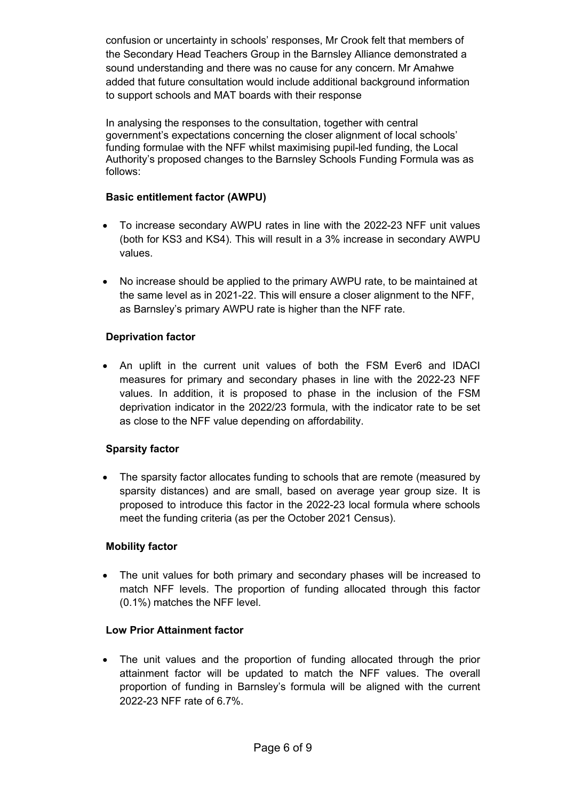confusion or uncertainty in schools' responses, Mr Crook felt that members of the Secondary Head Teachers Group in the Barnsley Alliance demonstrated a sound understanding and there was no cause for any concern. Mr Amahwe added that future consultation would include additional background information to support schools and MAT boards with their response

In analysing the responses to the consultation, together with central government's expectations concerning the closer alignment of local schools' funding formulae with the NFF whilst maximising pupil-led funding, the Local Authority's proposed changes to the Barnsley Schools Funding Formula was as follows:

#### **Basic entitlement factor (AWPU)**

- To increase secondary AWPU rates in line with the 2022-23 NFF unit values (both for KS3 and KS4). This will result in a 3% increase in secondary AWPU values.
- No increase should be applied to the primary AWPU rate, to be maintained at the same level as in 2021-22. This will ensure a closer alignment to the NFF, as Barnsley's primary AWPU rate is higher than the NFF rate.

#### **Deprivation factor**

• An uplift in the current unit values of both the FSM Ever6 and IDACI measures for primary and secondary phases in line with the 2022-23 NFF values. In addition, it is proposed to phase in the inclusion of the FSM deprivation indicator in the 2022/23 formula, with the indicator rate to be set as close to the NFF value depending on affordability.

#### **Sparsity factor**

• The sparsity factor allocates funding to schools that are remote (measured by sparsity distances) and are small, based on average year group size. It is proposed to introduce this factor in the 2022-23 local formula where schools meet the funding criteria (as per the October 2021 Census).

#### **Mobility factor**

• The unit values for both primary and secondary phases will be increased to match NFF levels. The proportion of funding allocated through this factor (0.1%) matches the NFF level.

#### **Low Prior Attainment factor**

The unit values and the proportion of funding allocated through the prior attainment factor will be updated to match the NFF values. The overall proportion of funding in Barnsley's formula will be aligned with the current 2022-23 NFF rate of 6.7%.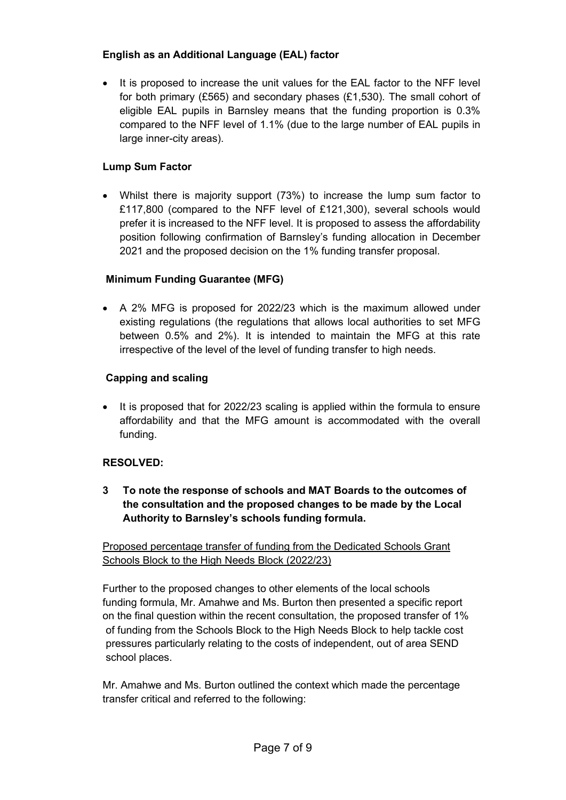#### **English as an Additional Language (EAL) factor**

It is proposed to increase the unit values for the EAL factor to the NFF level for both primary (£565) and secondary phases (£1,530). The small cohort of eligible EAL pupils in Barnsley means that the funding proportion is 0.3% compared to the NFF level of 1.1% (due to the large number of EAL pupils in large inner-city areas).

#### **Lump Sum Factor**

• Whilst there is majority support (73%) to increase the lump sum factor to £117,800 (compared to the NFF level of £121,300), several schools would prefer it is increased to the NFF level. It is proposed to assess the affordability position following confirmation of Barnsley's funding allocation in December 2021 and the proposed decision on the 1% funding transfer proposal.

## **Minimum Funding Guarantee (MFG)**

• A 2% MFG is proposed for 2022/23 which is the maximum allowed under existing regulations (the regulations that allows local authorities to set MFG between 0.5% and 2%). It is intended to maintain the MFG at this rate irrespective of the level of the level of funding transfer to high needs.

#### **Capping and scaling**

It is proposed that for 2022/23 scaling is applied within the formula to ensure affordability and that the MFG amount is accommodated with the overall funding.

#### **RESOLVED:**

**3 To note the response of schools and MAT Boards to the outcomes of the consultation and the proposed changes to be made by the Local Authority to Barnsley's schools funding formula.** 

Proposed percentage transfer of funding from the Dedicated Schools Grant Schools Block to the High Needs Block (2022/23)

Further to the proposed changes to other elements of the local schools funding formula, Mr. Amahwe and Ms. Burton then presented a specific report on the final question within the recent consultation, the proposed transfer of 1% of funding from the Schools Block to the High Needs Block to help tackle cost pressures particularly relating to the costs of independent, out of area SEND school places.

Mr. Amahwe and Ms. Burton outlined the context which made the percentage transfer critical and referred to the following: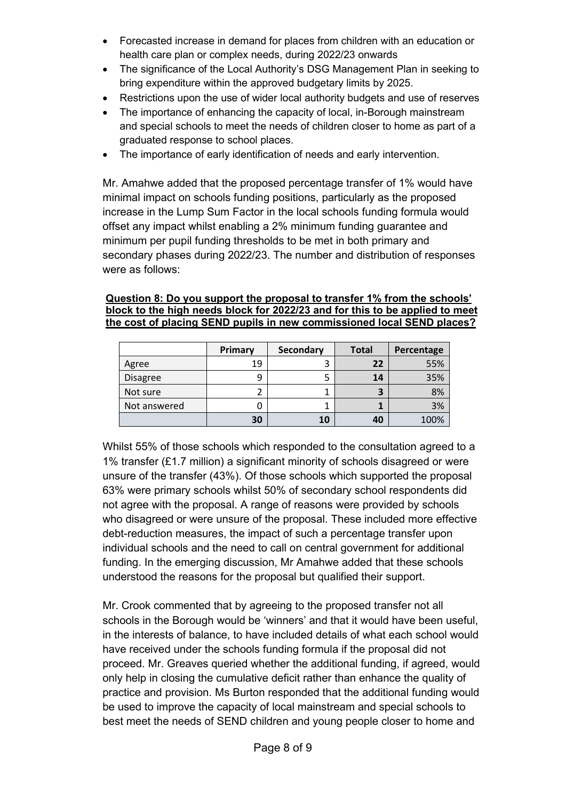- Forecasted increase in demand for places from children with an education or health care plan or complex needs, during 2022/23 onwards
- The significance of the Local Authority's DSG Management Plan in seeking to bring expenditure within the approved budgetary limits by 2025.
- Restrictions upon the use of wider local authority budgets and use of reserves
- The importance of enhancing the capacity of local, in-Borough mainstream and special schools to meet the needs of children closer to home as part of a graduated response to school places.
- The importance of early identification of needs and early intervention.

Mr. Amahwe added that the proposed percentage transfer of 1% would have minimal impact on schools funding positions, particularly as the proposed increase in the Lump Sum Factor in the local schools funding formula would offset any impact whilst enabling a 2% minimum funding guarantee and minimum per pupil funding thresholds to be met in both primary and secondary phases during 2022/23. The number and distribution of responses were as follows:

#### **Question 8: Do you support the proposal to transfer 1% from the schools' block to the high needs block for 2022/23 and for this to be applied to meet the cost of placing SEND pupils in new commissioned local SEND places?**

|                 | Primary | <b>Secondary</b> | <b>Total</b> | Percentage |
|-----------------|---------|------------------|--------------|------------|
| Agree           | 19      |                  | 22           | 55%        |
| <b>Disagree</b> | 9       |                  | 14           | 35%        |
| Not sure        |         |                  |              | 8%         |
| Not answered    | υ       |                  |              | 3%         |
|                 | 30      | 10               | 40           | 100%       |

Whilst 55% of those schools which responded to the consultation agreed to a 1% transfer (£1.7 million) a significant minority of schools disagreed or were unsure of the transfer (43%). Of those schools which supported the proposal 63% were primary schools whilst 50% of secondary school respondents did not agree with the proposal. A range of reasons were provided by schools who disagreed or were unsure of the proposal. These included more effective debt-reduction measures, the impact of such a percentage transfer upon individual schools and the need to call on central government for additional funding. In the emerging discussion, Mr Amahwe added that these schools understood the reasons for the proposal but qualified their support.

Mr. Crook commented that by agreeing to the proposed transfer not all schools in the Borough would be 'winners' and that it would have been useful, in the interests of balance, to have included details of what each school would have received under the schools funding formula if the proposal did not proceed. Mr. Greaves queried whether the additional funding, if agreed, would only help in closing the cumulative deficit rather than enhance the quality of practice and provision. Ms Burton responded that the additional funding would be used to improve the capacity of local mainstream and special schools to best meet the needs of SEND children and young people closer to home and